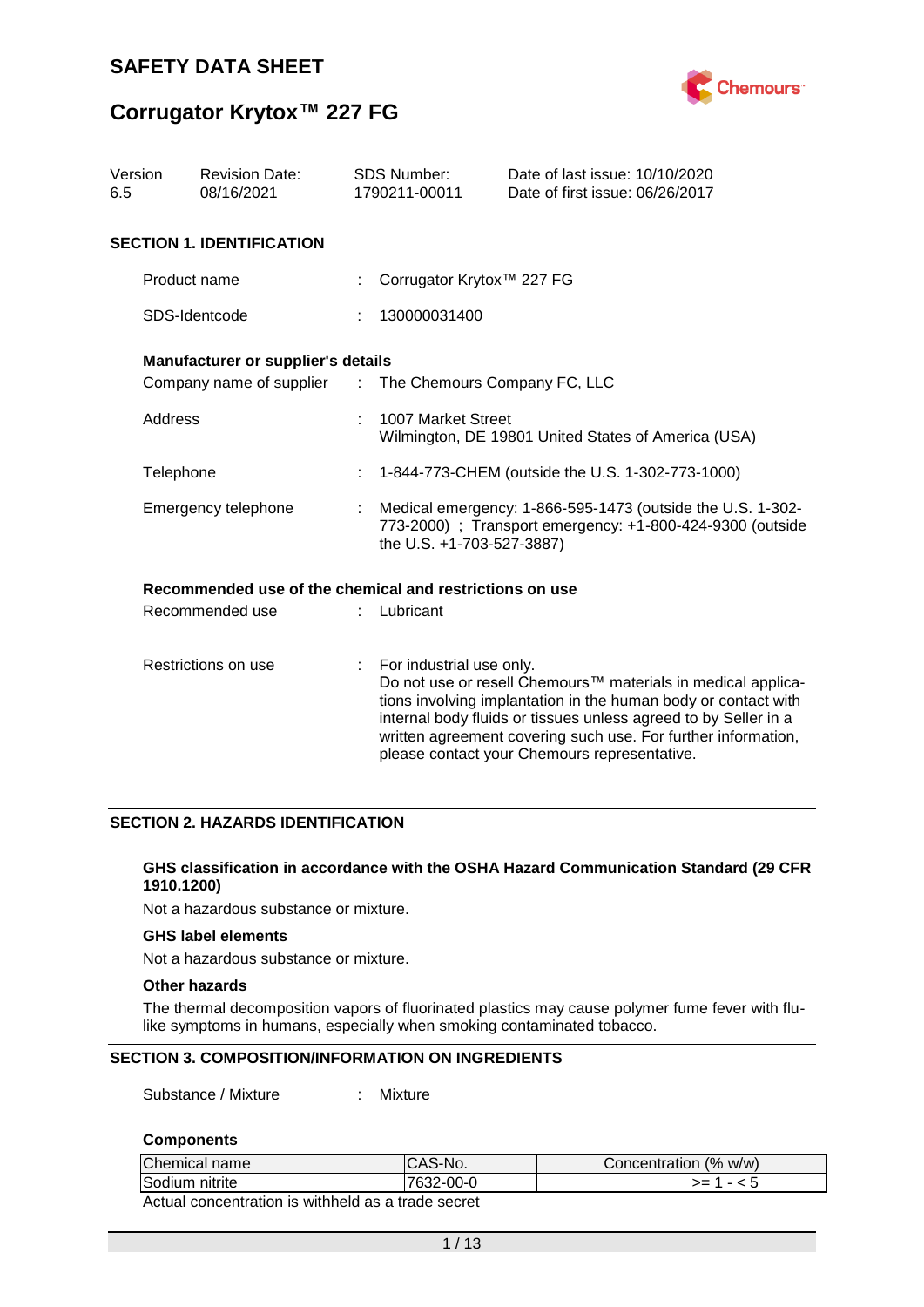

# **Corrugator Krytox™ 227 FG**

| Version<br><b>Revision Date:</b><br>08/16/2021<br>6.5 |                                                         |  | <b>SDS Number:</b><br>1790211-00011                                                                                                                  | Date of last issue: 10/10/2020<br>Date of first issue: 06/26/2017                                                                                                                                                                                                                                                  |  |  |
|-------------------------------------------------------|---------------------------------------------------------|--|------------------------------------------------------------------------------------------------------------------------------------------------------|--------------------------------------------------------------------------------------------------------------------------------------------------------------------------------------------------------------------------------------------------------------------------------------------------------------------|--|--|
|                                                       | <b>SECTION 1. IDENTIFICATION</b>                        |  |                                                                                                                                                      |                                                                                                                                                                                                                                                                                                                    |  |  |
|                                                       | Product name                                            |  | Corrugator Krytox™ 227 FG                                                                                                                            |                                                                                                                                                                                                                                                                                                                    |  |  |
|                                                       | SDS-Identcode                                           |  | 130000031400                                                                                                                                         |                                                                                                                                                                                                                                                                                                                    |  |  |
|                                                       | Manufacturer or supplier's details                      |  |                                                                                                                                                      |                                                                                                                                                                                                                                                                                                                    |  |  |
|                                                       | Company name of supplier : The Chemours Company FC, LLC |  |                                                                                                                                                      |                                                                                                                                                                                                                                                                                                                    |  |  |
|                                                       | Address                                                 |  | 1007 Market Street<br>Wilmington, DE 19801 United States of America (USA)                                                                            |                                                                                                                                                                                                                                                                                                                    |  |  |
| Telephone                                             |                                                         |  |                                                                                                                                                      | 1-844-773-CHEM (outside the U.S. 1-302-773-1000)                                                                                                                                                                                                                                                                   |  |  |
|                                                       | Emergency telephone                                     |  | Medical emergency: 1-866-595-1473 (outside the U.S. 1-302-<br>773-2000) ; Transport emergency: +1-800-424-9300 (outside<br>the U.S. +1-703-527-3887) |                                                                                                                                                                                                                                                                                                                    |  |  |
|                                                       | Recommended use of the chemical and restrictions on use |  |                                                                                                                                                      |                                                                                                                                                                                                                                                                                                                    |  |  |
|                                                       | Recommended use                                         |  | Lubricant                                                                                                                                            |                                                                                                                                                                                                                                                                                                                    |  |  |
| Restrictions on use                                   |                                                         |  | For industrial use only.                                                                                                                             | Do not use or resell Chemours™ materials in medical applica-<br>tions involving implantation in the human body or contact with<br>internal body fluids or tissues unless agreed to by Seller in a<br>written agreement covering such use. For further information,<br>please contact your Chemours representative. |  |  |

### **SECTION 2. HAZARDS IDENTIFICATION**

### **GHS classification in accordance with the OSHA Hazard Communication Standard (29 CFR 1910.1200)**

Not a hazardous substance or mixture.

### **GHS label elements**

Not a hazardous substance or mixture.

#### **Other hazards**

The thermal decomposition vapors of fluorinated plastics may cause polymer fume fever with flulike symptoms in humans, especially when smoking contaminated tobacco.

### **SECTION 3. COMPOSITION/INFORMATION ON INGREDIENTS**

Substance / Mixture : Mixture

### **Components**

| Chemical name                                      | ICAS-No.  | Concentration (% w/w) |  |  |
|----------------------------------------------------|-----------|-----------------------|--|--|
| Sodium nitrite                                     | 7632-00-0 | >= 1 - < 5            |  |  |
| Actual concentration is withheld as a trade secret |           |                       |  |  |

1 / 13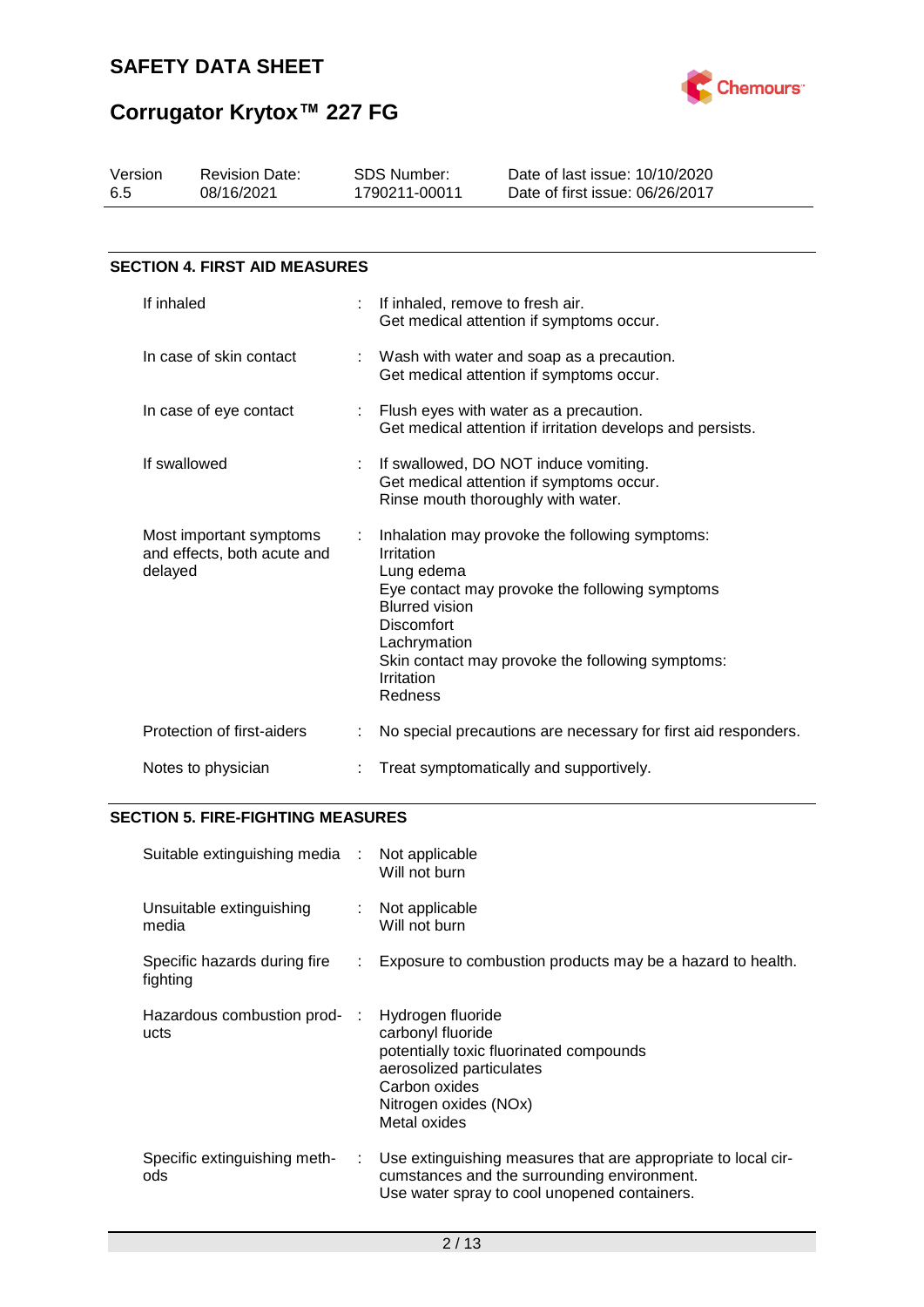

| Version<br>6.5 |                         | <b>Revision Date:</b><br>08/16/2021                    |    | SDS Number:<br>1790211-00011                                                                                    | Date of last issue: 10/10/2020<br>Date of first issue: 06/26/2017                                                                                    |  |
|----------------|-------------------------|--------------------------------------------------------|----|-----------------------------------------------------------------------------------------------------------------|------------------------------------------------------------------------------------------------------------------------------------------------------|--|
|                |                         |                                                        |    |                                                                                                                 |                                                                                                                                                      |  |
|                |                         | <b>SECTION 4. FIRST AID MEASURES</b>                   |    |                                                                                                                 |                                                                                                                                                      |  |
|                | If inhaled              |                                                        |    | If inhaled, remove to fresh air.                                                                                | Get medical attention if symptoms occur.                                                                                                             |  |
|                | In case of skin contact |                                                        | ÷. | Wash with water and soap as a precaution.<br>Get medical attention if symptoms occur.                           |                                                                                                                                                      |  |
|                |                         | In case of eye contact                                 |    |                                                                                                                 | Flush eyes with water as a precaution.<br>Get medical attention if irritation develops and persists.                                                 |  |
|                | If swallowed            |                                                        |    | Rinse mouth thoroughly with water.                                                                              | If swallowed, DO NOT induce vomiting.<br>Get medical attention if symptoms occur.                                                                    |  |
|                | delayed                 | Most important symptoms<br>and effects, both acute and |    | Irritation<br>Lung edema<br><b>Blurred vision</b><br><b>Discomfort</b><br>Lachrymation<br>Irritation<br>Redness | Inhalation may provoke the following symptoms:<br>Eye contact may provoke the following symptoms<br>Skin contact may provoke the following symptoms: |  |
|                |                         | Protection of first-aiders                             |    |                                                                                                                 | No special precautions are necessary for first aid responders.                                                                                       |  |
|                |                         | Notes to physician                                     |    |                                                                                                                 | Treat symptomatically and supportively.                                                                                                              |  |

### **SECTION 5. FIRE-FIGHTING MEASURES**

| Suitable extinguishing media :           |    | Not applicable<br>Will not burn                                                                                                                                         |
|------------------------------------------|----|-------------------------------------------------------------------------------------------------------------------------------------------------------------------------|
| Unsuitable extinguishing<br>media        | t. | Not applicable<br>Will not burn                                                                                                                                         |
| Specific hazards during fire<br>fighting | ÷. | Exposure to combustion products may be a hazard to health.                                                                                                              |
| Hazardous combustion prod-<br>ucts       |    | Hydrogen fluoride<br>carbonyl fluoride<br>potentially toxic fluorinated compounds<br>aerosolized particulates<br>Carbon oxides<br>Nitrogen oxides (NOx)<br>Metal oxides |
| Specific extinguishing meth-<br>ods      | t. | Use extinguishing measures that are appropriate to local cir-<br>cumstances and the surrounding environment.<br>Use water spray to cool unopened containers.            |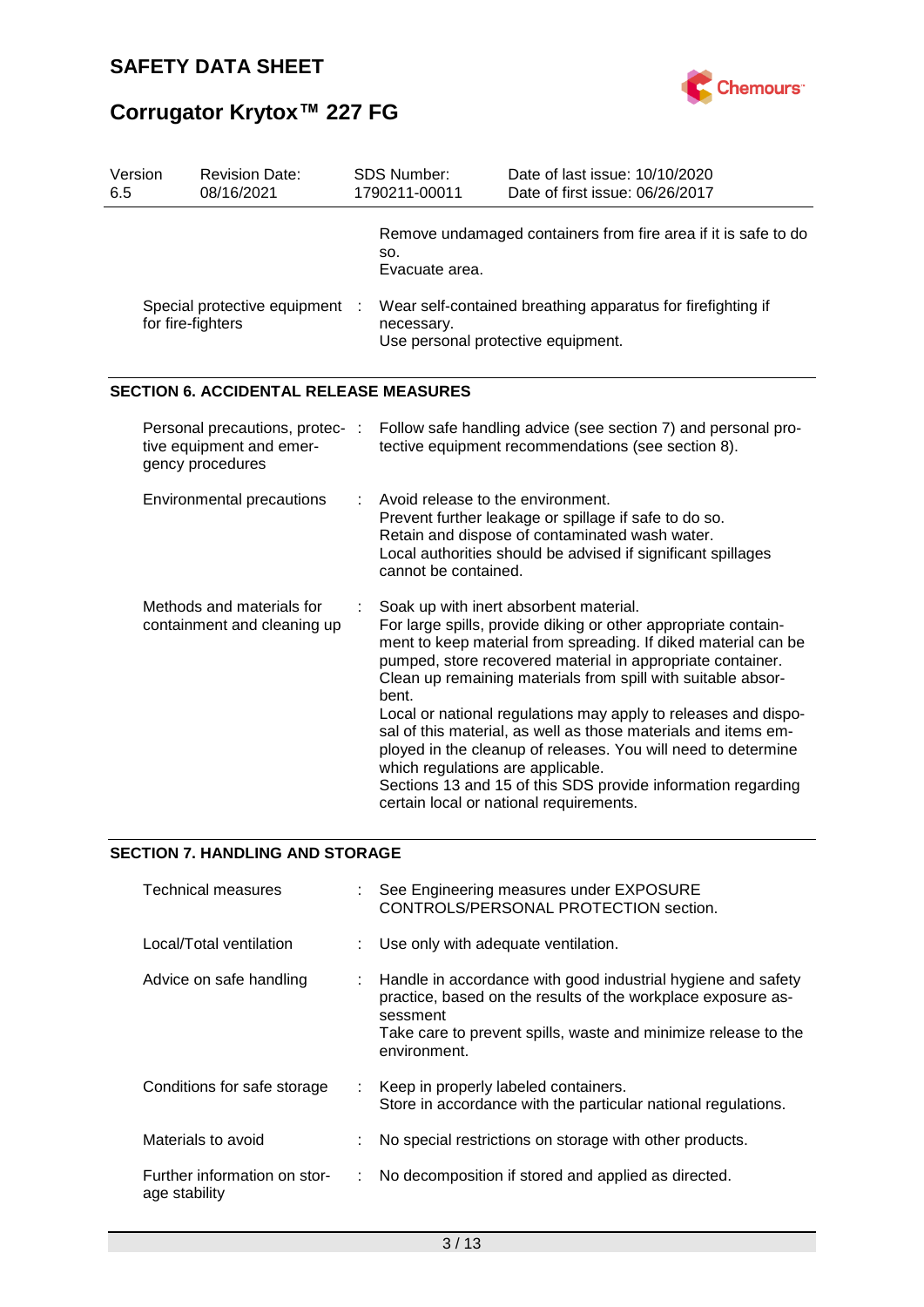

| Version<br>6.5 | <b>Revision Date:</b><br>08/16/2021                                             | <b>SDS Number:</b><br>1790211-00011                       | Date of last issue: 10/10/2020<br>Date of first issue: 06/26/2017                                                                                                                                                                                                                                                                                                                                                                                                                                                                                                                                                        |
|----------------|---------------------------------------------------------------------------------|-----------------------------------------------------------|--------------------------------------------------------------------------------------------------------------------------------------------------------------------------------------------------------------------------------------------------------------------------------------------------------------------------------------------------------------------------------------------------------------------------------------------------------------------------------------------------------------------------------------------------------------------------------------------------------------------------|
|                | Special protective equipment :                                                  | SO.<br>Evacuate area.                                     | Remove undamaged containers from fire area if it is safe to do<br>Wear self-contained breathing apparatus for firefighting if                                                                                                                                                                                                                                                                                                                                                                                                                                                                                            |
|                | for fire-fighters                                                               | necessary.                                                | Use personal protective equipment.                                                                                                                                                                                                                                                                                                                                                                                                                                                                                                                                                                                       |
|                | <b>SECTION 6. ACCIDENTAL RELEASE MEASURES</b>                                   |                                                           |                                                                                                                                                                                                                                                                                                                                                                                                                                                                                                                                                                                                                          |
|                | Personal precautions, protec- :<br>tive equipment and emer-<br>gency procedures |                                                           | Follow safe handling advice (see section 7) and personal pro-<br>tective equipment recommendations (see section 8).                                                                                                                                                                                                                                                                                                                                                                                                                                                                                                      |
|                | Environmental precautions                                                       | Avoid release to the environment.<br>cannot be contained. | Prevent further leakage or spillage if safe to do so.<br>Retain and dispose of contaminated wash water.<br>Local authorities should be advised if significant spillages                                                                                                                                                                                                                                                                                                                                                                                                                                                  |
|                | Methods and materials for<br>containment and cleaning up                        | bent.<br>which regulations are applicable.                | Soak up with inert absorbent material.<br>For large spills, provide diking or other appropriate contain-<br>ment to keep material from spreading. If diked material can be<br>pumped, store recovered material in appropriate container.<br>Clean up remaining materials from spill with suitable absor-<br>Local or national regulations may apply to releases and dispo-<br>sal of this material, as well as those materials and items em-<br>ployed in the cleanup of releases. You will need to determine<br>Sections 13 and 15 of this SDS provide information regarding<br>certain local or national requirements. |

## **SECTION 7. HANDLING AND STORAGE**

| <b>Technical measures</b>                     | : See Engineering measures under EXPOSURE<br>CONTROLS/PERSONAL PROTECTION section.                                                                                                                                         |
|-----------------------------------------------|----------------------------------------------------------------------------------------------------------------------------------------------------------------------------------------------------------------------------|
| Local/Total ventilation                       | : Use only with adequate ventilation.                                                                                                                                                                                      |
| Advice on safe handling                       | Handle in accordance with good industrial hygiene and safety<br>practice, based on the results of the workplace exposure as-<br>sessment<br>Take care to prevent spills, waste and minimize release to the<br>environment. |
| Conditions for safe storage                   | : Keep in properly labeled containers.<br>Store in accordance with the particular national regulations.                                                                                                                    |
| Materials to avoid                            | No special restrictions on storage with other products.                                                                                                                                                                    |
| Further information on stor-<br>age stability | No decomposition if stored and applied as directed.                                                                                                                                                                        |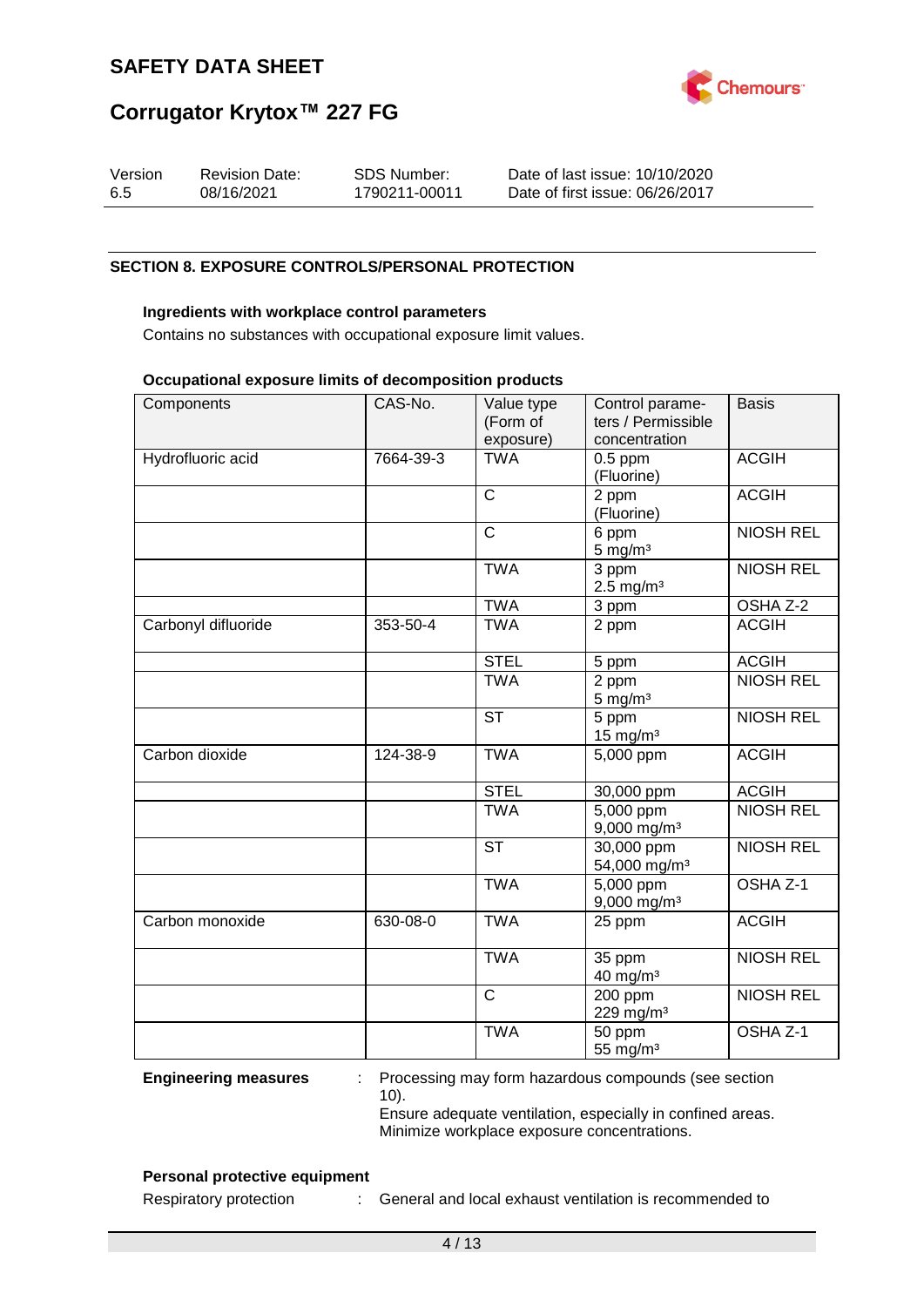

| Version | <b>Revision Date:</b> | SDS Number:   | Date of last issue: 10/10/2020  |
|---------|-----------------------|---------------|---------------------------------|
| 6.5     | 08/16/2021            | 1790211-00011 | Date of first issue: 06/26/2017 |

### **SECTION 8. EXPOSURE CONTROLS/PERSONAL PROTECTION**

### **Ingredients with workplace control parameters**

Contains no substances with occupational exposure limit values.

#### **Occupational exposure limits of decomposition products**

| Components          | CAS-No.   | Value type<br>(Form of<br>exposure) | Control parame-<br>ters / Permissible<br>concentration | <b>Basis</b>     |
|---------------------|-----------|-------------------------------------|--------------------------------------------------------|------------------|
| Hydrofluoric acid   | 7664-39-3 | <b>TWA</b>                          | $0.5$ ppm<br>(Fluorine)                                | <b>ACGIH</b>     |
|                     |           | $\overline{\text{c}}$               | 2 ppm<br>(Fluorine)                                    | <b>ACGIH</b>     |
|                     |           | $\overline{C}$                      | 6 ppm<br>$5 \text{ mg/m}^3$                            | <b>NIOSH REL</b> |
|                     |           | <b>TWA</b>                          | 3 ppm<br>$2.5$ mg/m <sup>3</sup>                       | <b>NIOSH REL</b> |
|                     |           | <b>TWA</b>                          | 3 ppm                                                  | OSHA Z-2         |
| Carbonyl difluoride | 353-50-4  | <b>TWA</b>                          | 2 ppm                                                  | <b>ACGIH</b>     |
|                     |           | <b>STEL</b>                         | 5 ppm                                                  | <b>ACGIH</b>     |
|                     |           | <b>TWA</b>                          | 2 ppm<br>$5 \text{ mg/m}^3$                            | <b>NIOSH REL</b> |
|                     |           | <b>ST</b>                           | 5 ppm<br>$15$ mg/m <sup>3</sup>                        | <b>NIOSH REL</b> |
| Carbon dioxide      | 124-38-9  | <b>TWA</b>                          | 5,000 ppm                                              | <b>ACGIH</b>     |
|                     |           | <b>STEL</b>                         | 30,000 ppm                                             | <b>ACGIH</b>     |
|                     |           | <b>TWA</b>                          | 5,000 ppm<br>9,000 mg/m <sup>3</sup>                   | <b>NIOSH REL</b> |
|                     |           | <b>ST</b>                           | 30,000 ppm<br>54,000 mg/m <sup>3</sup>                 | <b>NIOSH REL</b> |
|                     |           | <b>TWA</b>                          | 5,000 ppm<br>$9,000$ mg/m <sup>3</sup>                 | OSHA Z-1         |
| Carbon monoxide     | 630-08-0  | <b>TWA</b>                          | 25 ppm                                                 | <b>ACGIH</b>     |
|                     |           | <b>TWA</b>                          | 35 ppm<br>40 mg/m <sup>3</sup>                         | <b>NIOSH REL</b> |
|                     |           | $\overline{\text{c}}$               | 200 ppm<br>229 mg/m <sup>3</sup>                       | <b>NIOSH REL</b> |
|                     |           | <b>TWA</b>                          | 50 ppm<br>55 mg/m <sup>3</sup>                         | OSHA Z-1         |

**Engineering measures** : Processing may form hazardous compounds (see section 10). Ensure adequate ventilation, especially in confined areas.

Minimize workplace exposure concentrations.

### **Personal protective equipment**

Respiratory protection : General and local exhaust ventilation is recommended to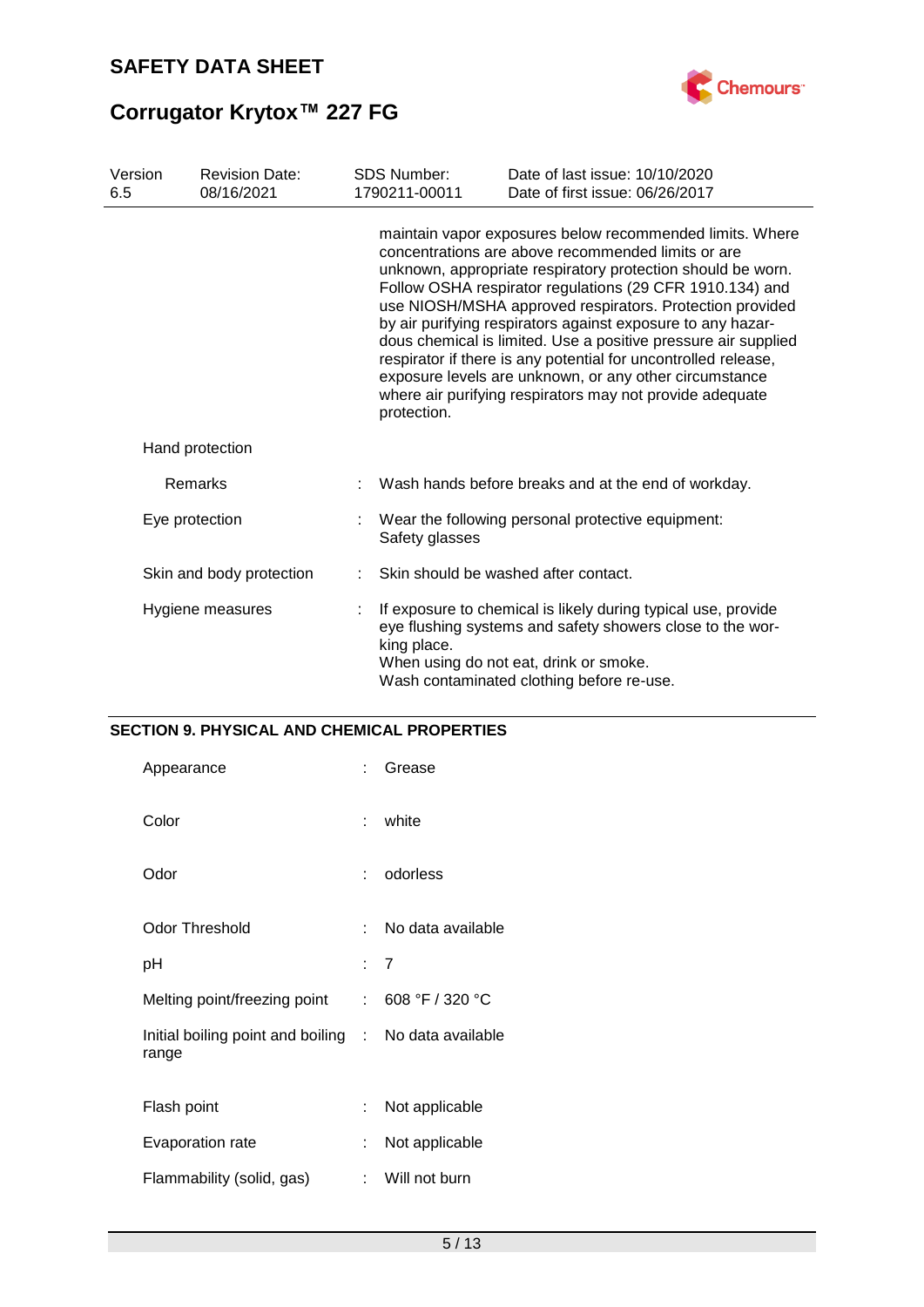

| Version<br>6.5 | <b>Revision Date:</b><br>08/16/2021 | <b>SDS Number:</b><br>1790211-00011 | Date of last issue: 10/10/2020<br>Date of first issue: 06/26/2017                                                                                                                                                                                                                                                                                                                                                                                                                                                                                                                                                              |
|----------------|-------------------------------------|-------------------------------------|--------------------------------------------------------------------------------------------------------------------------------------------------------------------------------------------------------------------------------------------------------------------------------------------------------------------------------------------------------------------------------------------------------------------------------------------------------------------------------------------------------------------------------------------------------------------------------------------------------------------------------|
|                |                                     | protection.                         | maintain vapor exposures below recommended limits. Where<br>concentrations are above recommended limits or are<br>unknown, appropriate respiratory protection should be worn.<br>Follow OSHA respirator regulations (29 CFR 1910.134) and<br>use NIOSH/MSHA approved respirators. Protection provided<br>by air purifying respirators against exposure to any hazar-<br>dous chemical is limited. Use a positive pressure air supplied<br>respirator if there is any potential for uncontrolled release,<br>exposure levels are unknown, or any other circumstance<br>where air purifying respirators may not provide adequate |
|                | Hand protection                     |                                     |                                                                                                                                                                                                                                                                                                                                                                                                                                                                                                                                                                                                                                |
|                | Remarks                             |                                     | Wash hands before breaks and at the end of workday.                                                                                                                                                                                                                                                                                                                                                                                                                                                                                                                                                                            |
|                | Eye protection                      | Safety glasses                      | Wear the following personal protective equipment:                                                                                                                                                                                                                                                                                                                                                                                                                                                                                                                                                                              |
|                | Skin and body protection            |                                     | Skin should be washed after contact.                                                                                                                                                                                                                                                                                                                                                                                                                                                                                                                                                                                           |
|                | Hygiene measures                    | king place.                         | If exposure to chemical is likely during typical use, provide<br>eye flushing systems and safety showers close to the wor-<br>When using do not eat, drink or smoke.<br>Wash contaminated clothing before re-use.                                                                                                                                                                                                                                                                                                                                                                                                              |

### **SECTION 9. PHYSICAL AND CHEMICAL PROPERTIES**

| Appearance                                                     | ۰  | Grease            |
|----------------------------------------------------------------|----|-------------------|
| Color                                                          | t. | white             |
| Odor                                                           | t. | odorless          |
| <b>Odor Threshold</b>                                          | t. | No data available |
| рH                                                             |    | : 7               |
| Melting point/freezing point                                   | t. | 608 °F / 320 °C   |
| Initial boiling point and boiling : No data available<br>range |    |                   |
| Flash point                                                    | ÷  | Not applicable    |
| Evaporation rate                                               | ÷  | Not applicable    |
| Flammability (solid, gas)                                      | t. | Will not burn     |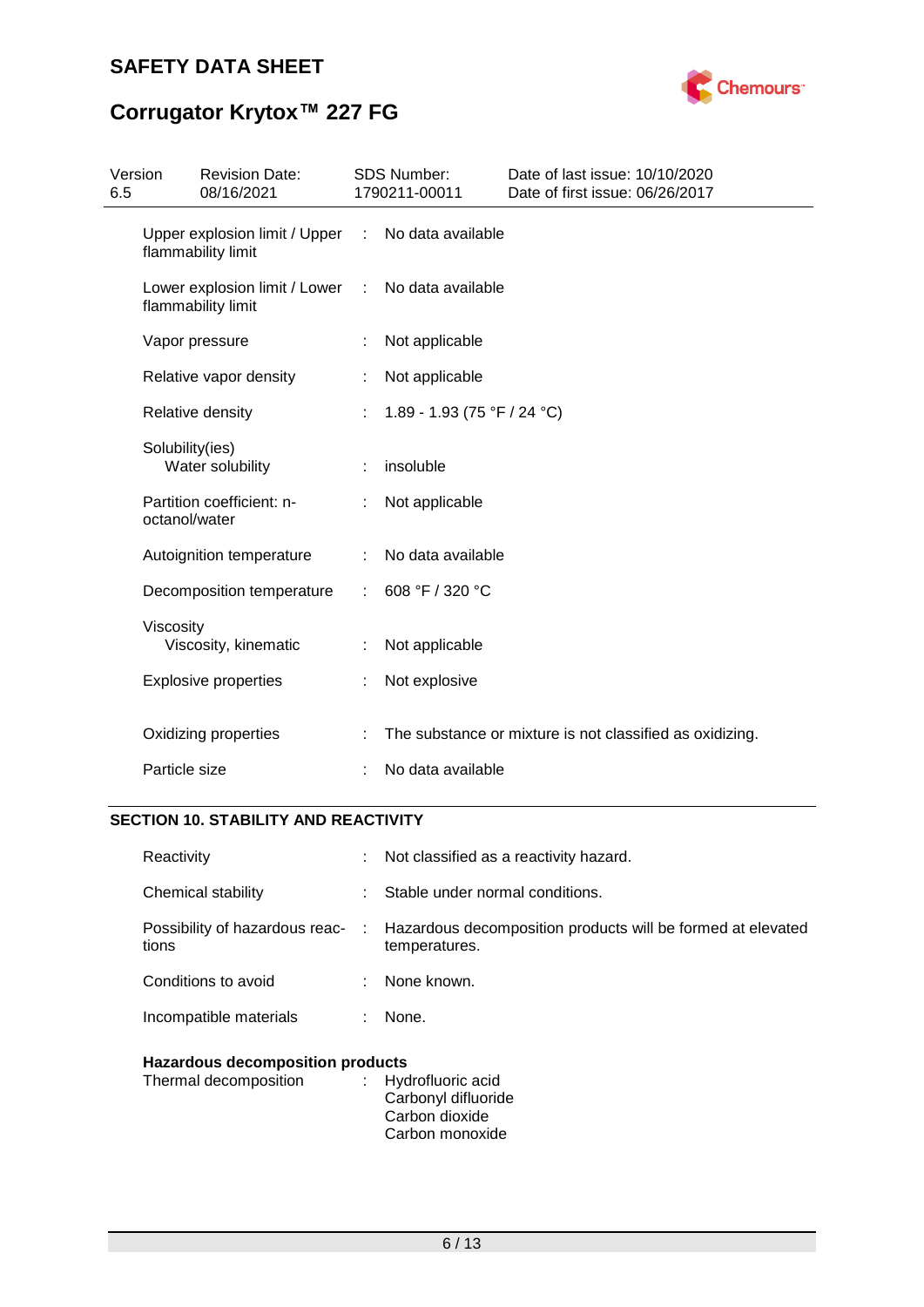

# **Corrugator Krytox™ 227 FG**

| Version<br>6.5 |                 | <b>Revision Date:</b><br>08/16/2021                 |   | <b>SDS Number:</b><br>1790211-00011 | Date of last issue: 10/10/2020<br>Date of first issue: 06/26/2017 |
|----------------|-----------------|-----------------------------------------------------|---|-------------------------------------|-------------------------------------------------------------------|
|                |                 | Upper explosion limit / Upper<br>flammability limit | ÷ | No data available                   |                                                                   |
|                |                 | Lower explosion limit / Lower<br>flammability limit | ÷ | No data available                   |                                                                   |
|                |                 | Vapor pressure                                      |   | Not applicable                      |                                                                   |
|                |                 | Relative vapor density                              |   | Not applicable                      |                                                                   |
|                |                 | Relative density                                    |   | 1.89 - 1.93 (75 °F / 24 °C)         |                                                                   |
|                | Solubility(ies) | Water solubility                                    |   | insoluble                           |                                                                   |
|                | octanol/water   | Partition coefficient: n-                           |   | Not applicable                      |                                                                   |
|                |                 | Autoignition temperature                            | ÷ | No data available                   |                                                                   |
|                |                 | Decomposition temperature                           |   | 608 °F / 320 °C                     |                                                                   |
|                | Viscosity       | Viscosity, kinematic                                |   | Not applicable                      |                                                                   |
|                |                 | <b>Explosive properties</b>                         | ÷ | Not explosive                       |                                                                   |
|                |                 | Oxidizing properties                                |   |                                     | The substance or mixture is not classified as oxidizing.          |
|                | Particle size   |                                                     |   | No data available                   |                                                                   |

### **SECTION 10. STABILITY AND REACTIVITY**

| Reactivity                              |  | : Not classified as a reactivity hazard.                                                                      |  |  |
|-----------------------------------------|--|---------------------------------------------------------------------------------------------------------------|--|--|
| Chemical stability                      |  | Stable under normal conditions.                                                                               |  |  |
| tions                                   |  | Possibility of hazardous reac- : Hazardous decomposition products will be formed at elevated<br>temperatures. |  |  |
| Conditions to avoid                     |  | $\therefore$ None known.                                                                                      |  |  |
| Incompatible materials                  |  | None.                                                                                                         |  |  |
| <b>Hazardous decomposition products</b> |  |                                                                                                               |  |  |
| Thermal decomposition                   |  | : Hydrofluoric acid<br>Carbonyl difluoride                                                                    |  |  |

Carbon dioxide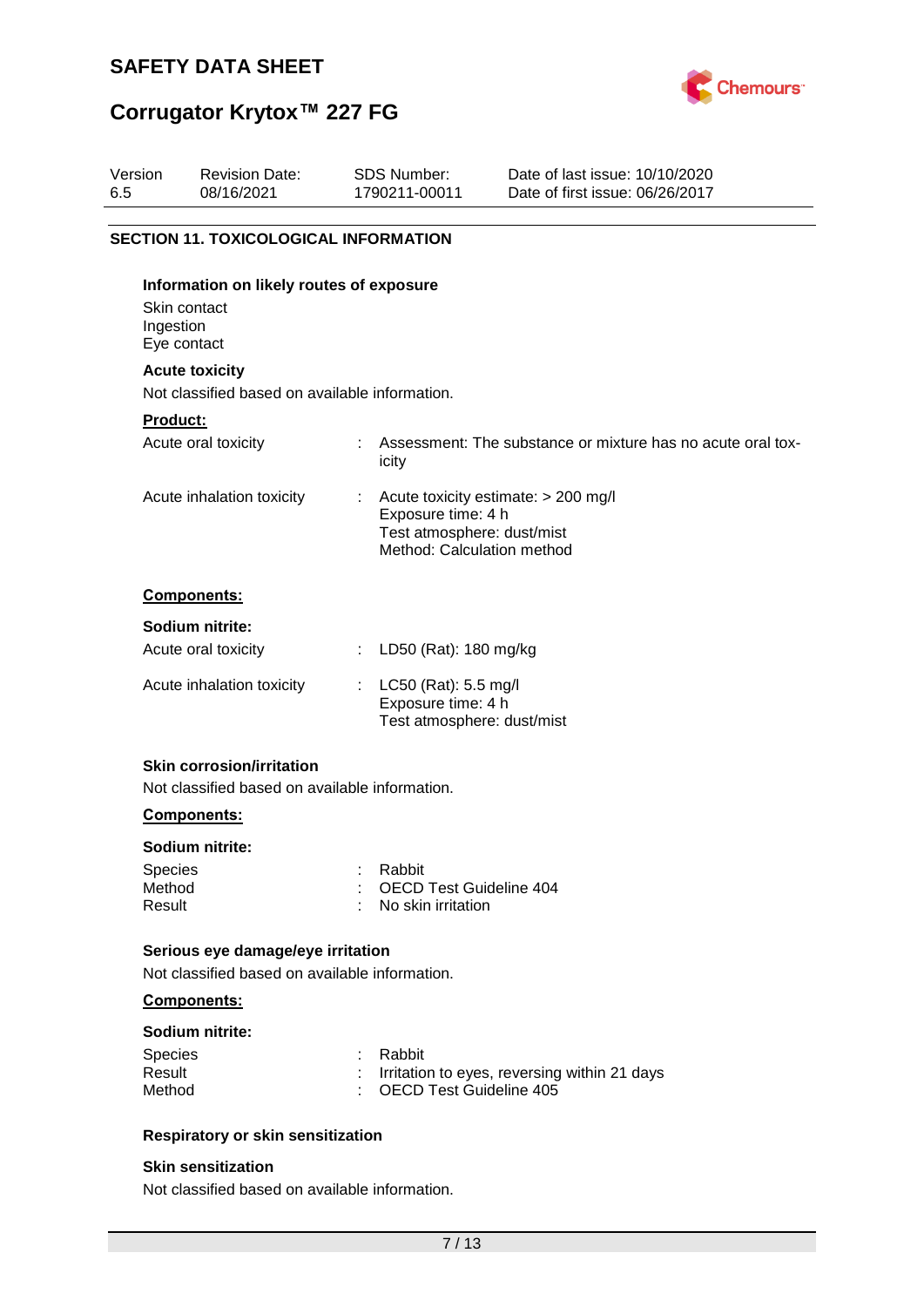

# **Corrugator Krytox™ 227 FG**

| Version<br>6.5  | <b>Revision Date:</b><br>08/16/2021                                                | <b>SDS Number:</b><br>1790211-00011                                            | Date of last issue: 10/10/2020<br>Date of first issue: 06/26/2017 |
|-----------------|------------------------------------------------------------------------------------|--------------------------------------------------------------------------------|-------------------------------------------------------------------|
|                 | <b>SECTION 11. TOXICOLOGICAL INFORMATION</b>                                       |                                                                                |                                                                   |
| Ingestion       | Information on likely routes of exposure<br>Skin contact<br>Eye contact            |                                                                                |                                                                   |
|                 | <b>Acute toxicity</b>                                                              |                                                                                |                                                                   |
|                 | Not classified based on available information.                                     |                                                                                |                                                                   |
| <b>Product:</b> |                                                                                    |                                                                                |                                                                   |
|                 | Acute oral toxicity                                                                | icity                                                                          | Assessment: The substance or mixture has no acute oral tox-       |
|                 | Acute inhalation toxicity                                                          | Exposure time: 4 h<br>Test atmosphere: dust/mist<br>Method: Calculation method | Acute toxicity estimate: > 200 mg/l                               |
|                 | Components:                                                                        |                                                                                |                                                                   |
|                 | Sodium nitrite:                                                                    |                                                                                |                                                                   |
|                 | Acute oral toxicity                                                                | LD50 (Rat): 180 mg/kg                                                          |                                                                   |
|                 | Acute inhalation toxicity                                                          | LC50 (Rat): 5.5 mg/l<br>Exposure time: 4 h<br>Test atmosphere: dust/mist       |                                                                   |
|                 | <b>Skin corrosion/irritation</b><br>Not classified based on available information. |                                                                                |                                                                   |
|                 | <b>Components:</b>                                                                 |                                                                                |                                                                   |

### **Sodium nitrite:**

| Species | : Rabbit                  |
|---------|---------------------------|
| Method  | : OECD Test Guideline 404 |
| Result  | : No skin irritation      |

### **Serious eye damage/eye irritation**

Not classified based on available information.

### **Components:**

### **Sodium nitrite:**

| <b>Species</b> | : Rabbit                                       |
|----------------|------------------------------------------------|
| Result         | : Irritation to eyes, reversing within 21 days |
| Method         | : OECD Test Guideline 405                      |

### **Respiratory or skin sensitization**

### **Skin sensitization**

Not classified based on available information.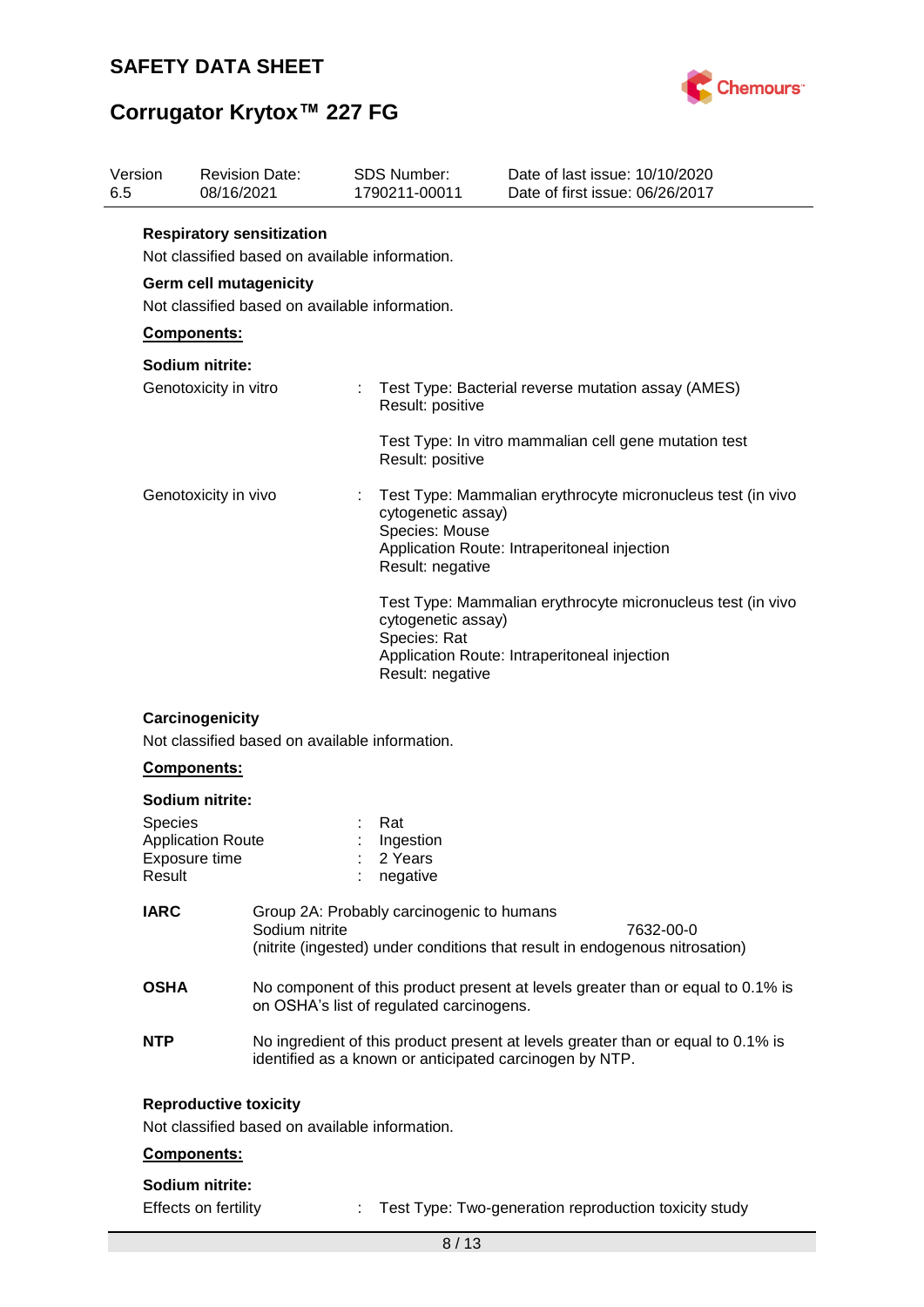

# **Corrugator Krytox™ 227 FG**

| Version<br>6.5 |                                                                       | <b>Revision Date:</b><br>08/16/2021                                                |    | <b>SDS Number:</b><br>1790211-00011                      | Date of last issue: 10/10/2020<br>Date of first issue: 06/26/2017                                                                           |
|----------------|-----------------------------------------------------------------------|------------------------------------------------------------------------------------|----|----------------------------------------------------------|---------------------------------------------------------------------------------------------------------------------------------------------|
|                |                                                                       | <b>Respiratory sensitization</b><br>Not classified based on available information. |    |                                                          |                                                                                                                                             |
|                | <b>Germ cell mutagenicity</b>                                         |                                                                                    |    |                                                          |                                                                                                                                             |
|                |                                                                       | Not classified based on available information.                                     |    |                                                          |                                                                                                                                             |
|                | Components:                                                           |                                                                                    |    |                                                          |                                                                                                                                             |
|                | Sodium nitrite:                                                       |                                                                                    |    |                                                          |                                                                                                                                             |
|                | Genotoxicity in vitro                                                 |                                                                                    | ÷. | Result: positive                                         | Test Type: Bacterial reverse mutation assay (AMES)                                                                                          |
|                |                                                                       |                                                                                    |    | Result: positive                                         | Test Type: In vitro mammalian cell gene mutation test                                                                                       |
|                | Genotoxicity in vivo                                                  |                                                                                    |    | cytogenetic assay)<br>Species: Mouse<br>Result: negative | Test Type: Mammalian erythrocyte micronucleus test (in vivo<br>Application Route: Intraperitoneal injection                                 |
|                |                                                                       |                                                                                    |    | cytogenetic assay)<br>Species: Rat<br>Result: negative   | Test Type: Mammalian erythrocyte micronucleus test (in vivo<br>Application Route: Intraperitoneal injection                                 |
|                | Carcinogenicity                                                       | Not classified based on available information.                                     |    |                                                          |                                                                                                                                             |
|                | <b>Components:</b>                                                    |                                                                                    |    |                                                          |                                                                                                                                             |
|                | Sodium nitrite:                                                       |                                                                                    |    |                                                          |                                                                                                                                             |
|                | <b>Species</b><br><b>Application Route</b><br>Exposure time<br>Result |                                                                                    |    | Rat<br>Ingestion<br>2 Years<br>negative                  |                                                                                                                                             |
|                | <b>IARC</b>                                                           | Sodium nitrite                                                                     |    | Group 2A: Probably carcinogenic to humans                | 7632-00-0<br>(nitrite (ingested) under conditions that result in endogenous nitrosation)                                                    |
|                | <b>OSHA</b>                                                           |                                                                                    |    | on OSHA's list of regulated carcinogens.                 | No component of this product present at levels greater than or equal to 0.1% is                                                             |
|                | <b>NTP</b>                                                            |                                                                                    |    |                                                          | No ingredient of this product present at levels greater than or equal to 0.1% is<br>identified as a known or anticipated carcinogen by NTP. |
|                | <b>Reproductive toxicity</b>                                          | Not classified based on available information.                                     |    |                                                          |                                                                                                                                             |
|                | Components:                                                           |                                                                                    |    |                                                          |                                                                                                                                             |
|                | Sodium nitrite:                                                       |                                                                                    |    |                                                          |                                                                                                                                             |
|                | Effects on fertility                                                  |                                                                                    |    |                                                          | Test Type: Two-generation reproduction toxicity study                                                                                       |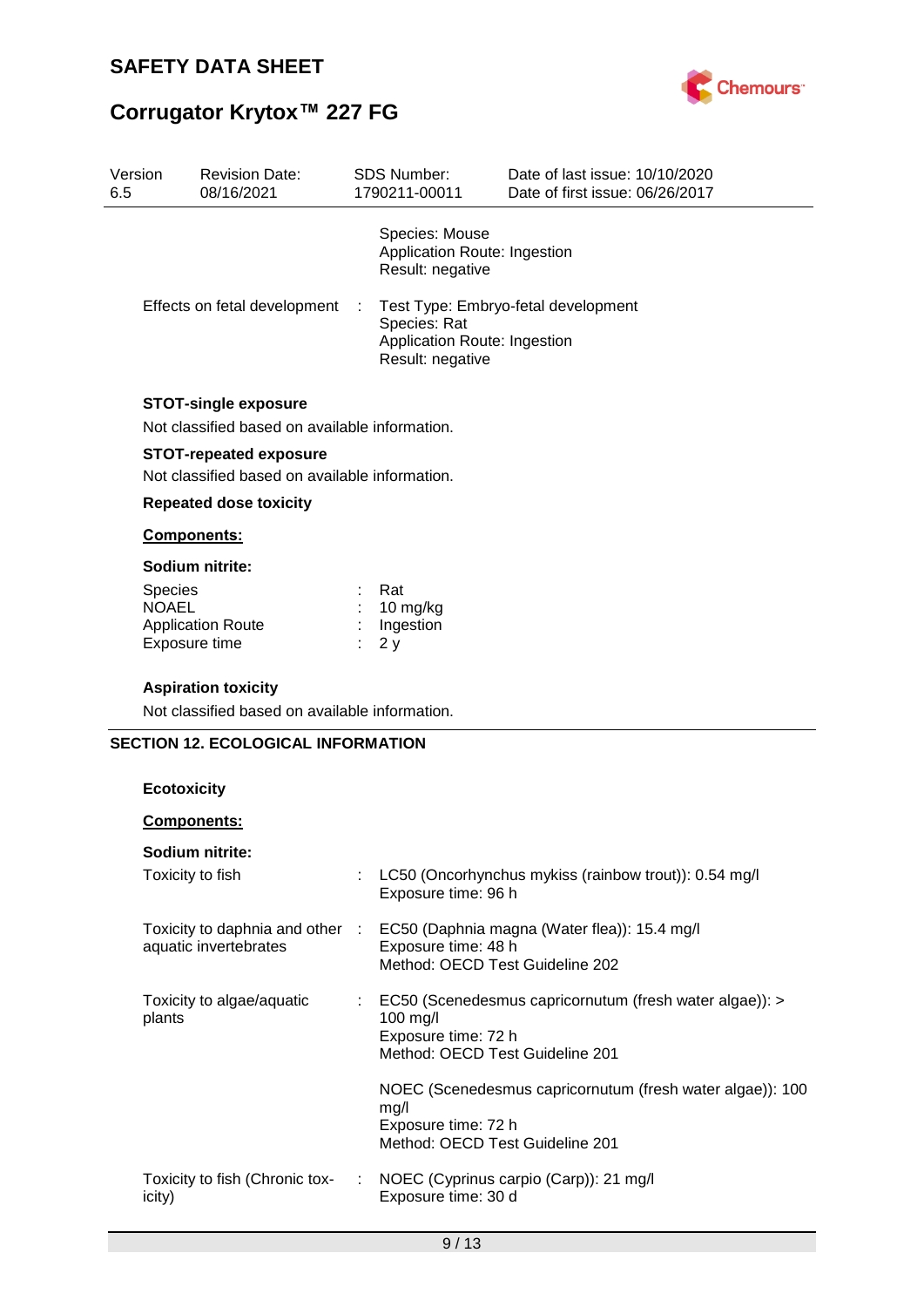Version



Date of last issue: 10/10/2020

# **Corrugator Krytox™ 227 FG**

Revision Date:

| 08/16/2021                                                                      | 1790211-00011                                                      | Date of first issue: 06/26/2017                           |
|---------------------------------------------------------------------------------|--------------------------------------------------------------------|-----------------------------------------------------------|
|                                                                                 | Species: Mouse<br>Application Route: Ingestion<br>Result: negative |                                                           |
| Effects on fetal development                                                    | Species: Rat<br>Application Route: Ingestion<br>Result: negative   | Test Type: Embryo-fetal development                       |
| <b>STOT-single exposure</b><br>Not classified based on available information.   |                                                                    |                                                           |
| <b>STOT-repeated exposure</b><br>Not classified based on available information. |                                                                    |                                                           |
| <b>Repeated dose toxicity</b>                                                   |                                                                    |                                                           |
| <b>Components:</b>                                                              |                                                                    |                                                           |
| Sodium nitrite:                                                                 |                                                                    |                                                           |
| <b>Species</b><br><b>NOAEL</b>                                                  | Rat                                                                |                                                           |
|                                                                                 | 10 mg/kg<br>Ingestion                                              |                                                           |
|                                                                                 | 2y                                                                 |                                                           |
| <b>Application Route</b><br>Exposure time                                       |                                                                    |                                                           |
| <b>Aspiration toxicity</b><br>Not classified based on available information.    |                                                                    |                                                           |
| <b>SECTION 12. ECOLOGICAL INFORMATION</b>                                       |                                                                    |                                                           |
| <b>Ecotoxicity</b>                                                              |                                                                    |                                                           |
| Components:                                                                     |                                                                    |                                                           |
| Sodium nitrite:                                                                 |                                                                    |                                                           |
| Toxicity to fish                                                                | Exposure time: 96 h                                                | LC50 (Oncorhynchus mykiss (rainbow trout)): 0.54 mg/l     |
| Toxicity to daphnia and other :                                                 |                                                                    | EC50 (Daphnia magna (Water flea)): 15.4 mg/l              |
| aquatic invertebrates                                                           | Exposure time: 48 h<br>Method: OECD Test Guideline 202             |                                                           |
| Toxicity to algae/aquatic                                                       |                                                                    | EC50 (Scenedesmus capricornutum (fresh water algae)): >   |
| plants                                                                          | 100 mg/l<br>Exposure time: 72 h<br>Method: OECD Test Guideline 201 |                                                           |
|                                                                                 |                                                                    |                                                           |
|                                                                                 | mg/l                                                               |                                                           |
|                                                                                 | Exposure time: 72 h<br>Method: OECD Test Guideline 201             | NOEC (Scenedesmus capricornutum (fresh water algae)): 100 |

SDS Number: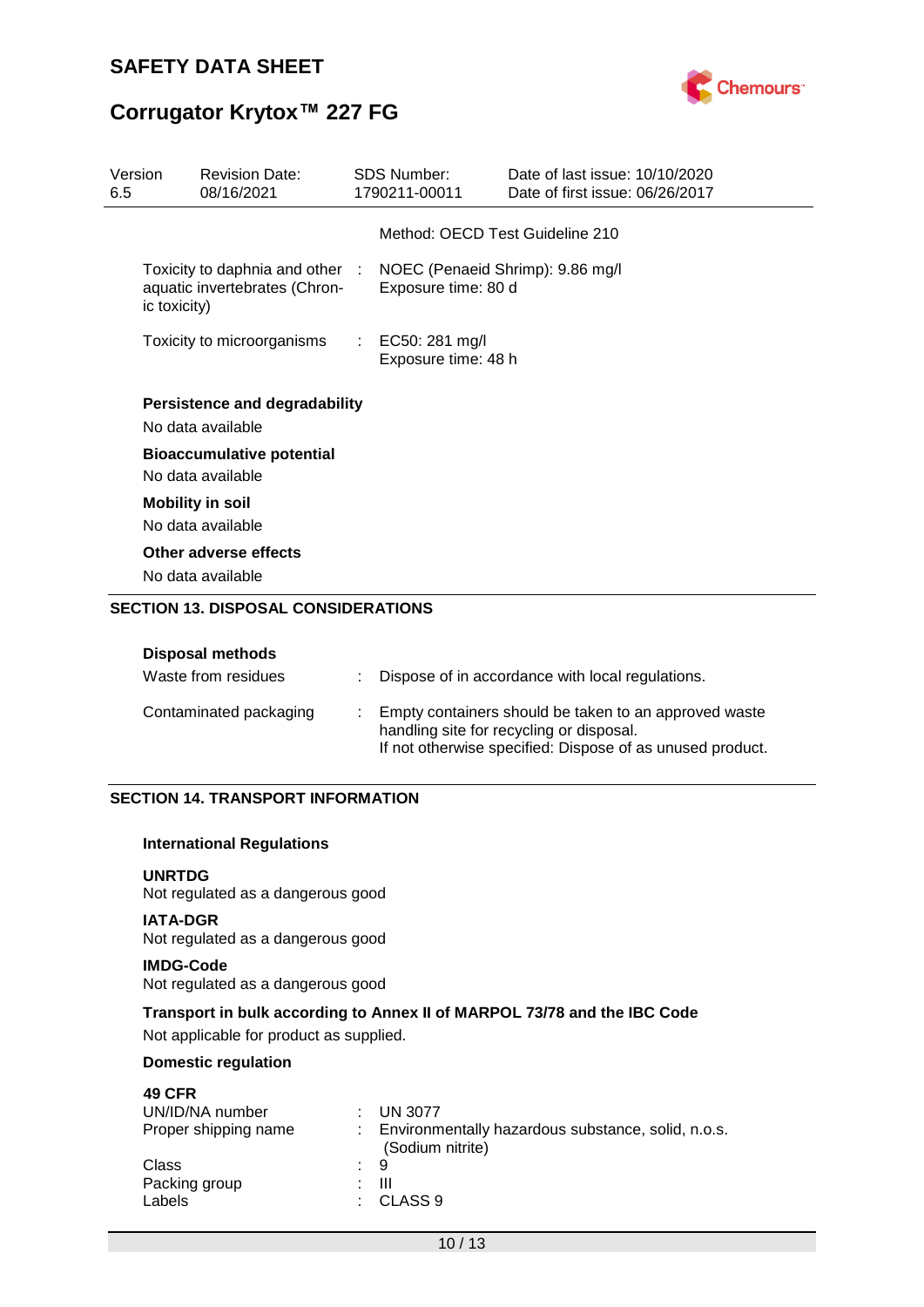

# **Corrugator Krytox™ 227 FG**

| Version<br>6.5 | <b>Revision Date:</b><br>08/16/2021                              | <b>SDS Number:</b><br>1790211-00011                     | Date of last issue: 10/10/2020<br>Date of first issue: 06/26/2017 |
|----------------|------------------------------------------------------------------|---------------------------------------------------------|-------------------------------------------------------------------|
|                |                                                                  | Method: OECD Test Guideline 210                         |                                                                   |
| ic toxicity)   | Toxicity to daphnia and other :<br>aquatic invertebrates (Chron- | NOEC (Penaeid Shrimp): 9.86 mg/l<br>Exposure time: 80 d |                                                                   |
|                | Toxicity to microorganisms                                       | : EC50: 281 mg/l<br>Exposure time: 48 h                 |                                                                   |
|                | <b>Persistence and degradability</b><br>No data available        |                                                         |                                                                   |
|                | <b>Bioaccumulative potential</b><br>No data available            |                                                         |                                                                   |
|                | <b>Mobility in soil</b><br>No data available                     |                                                         |                                                                   |
|                | Other adverse effects<br>No data available                       |                                                         |                                                                   |

### **SECTION 13. DISPOSAL CONSIDERATIONS**

### **Disposal methods**

| Waste from residues    | Dispose of in accordance with local regulations.                                                                                                               |
|------------------------|----------------------------------------------------------------------------------------------------------------------------------------------------------------|
| Contaminated packaging | Empty containers should be taken to an approved waste<br>handling site for recycling or disposal.<br>If not otherwise specified: Dispose of as unused product. |

### **SECTION 14. TRANSPORT INFORMATION**

### **International Regulations**

### **UNRTDG**

Not regulated as a dangerous good

### **IATA-DGR** Not regulated as a dangerous good

### **IMDG-Code**

Not regulated as a dangerous good

### **Transport in bulk according to Annex II of MARPOL 73/78 and the IBC Code**

Not applicable for product as supplied.

### **Domestic regulation**

| <b>49 CFR</b>        |                                                                        |
|----------------------|------------------------------------------------------------------------|
| UN/ID/NA number      | <b>UN 3077</b>                                                         |
| Proper shipping name | Environmentally hazardous substance, solid, n.o.s.<br>(Sodium nitrite) |
| Class                | : 9                                                                    |
| Packing group        | Ш                                                                      |
| Labels               | CLASS <sub>9</sub><br>$\sim$                                           |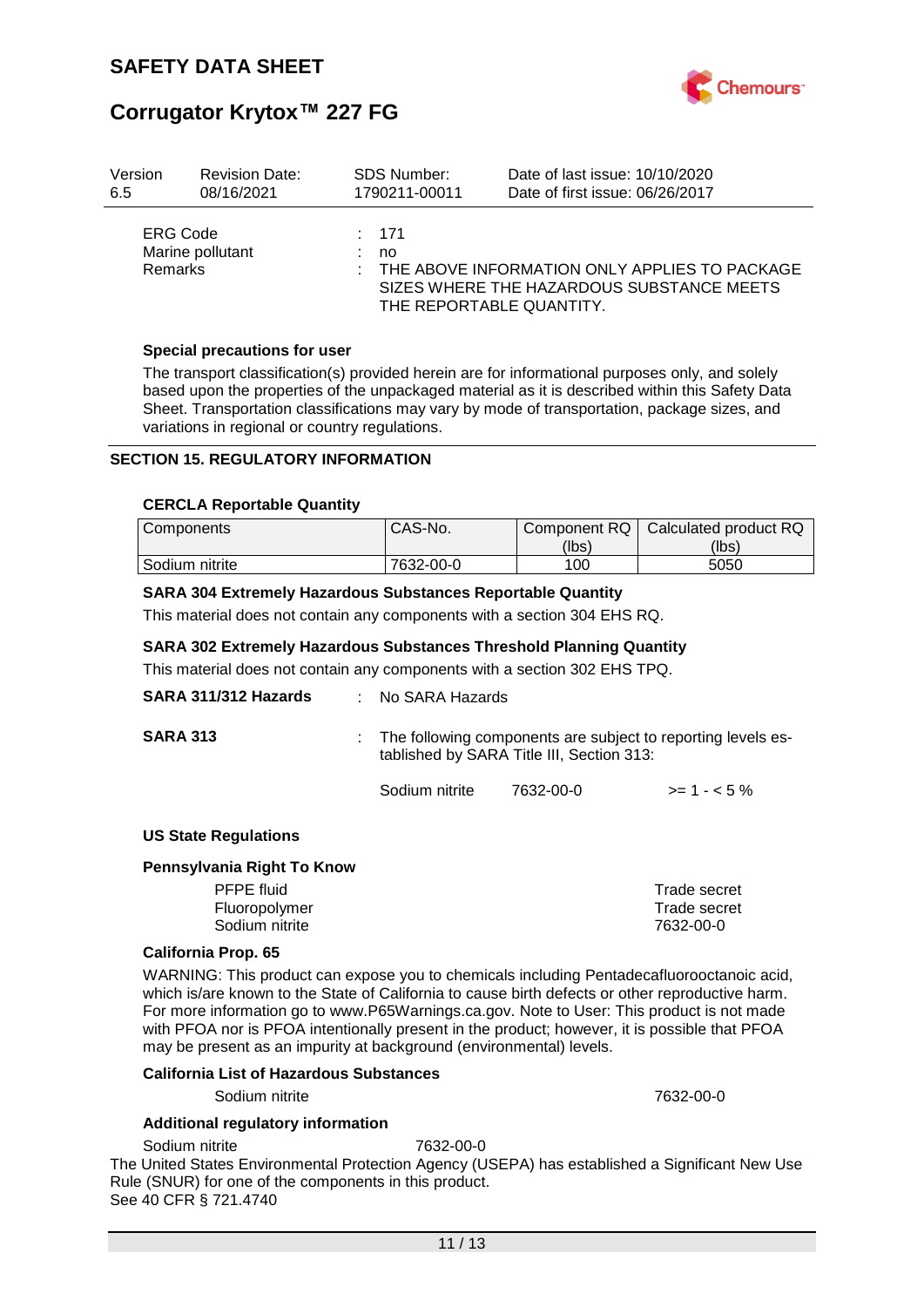

| Version                           | <b>Revision Date:</b> | <b>SDS Number:</b> | Date of last issue: 10/10/2020                                                                                         |
|-----------------------------------|-----------------------|--------------------|------------------------------------------------------------------------------------------------------------------------|
| 6.5                               | 08/16/2021            | 1790211-00011      | Date of first issue: 06/26/2017                                                                                        |
| <b>ERG Code</b><br><b>Remarks</b> | Marine pollutant      | : 171<br>no        | THE ABOVE INFORMATION ONLY APPLIES TO PACKAGE<br>SIZES WHERE THE HAZARDOUS SUBSTANCE MEETS<br>THE REPORTABLE QUANTITY. |

### **Special precautions for user**

The transport classification(s) provided herein are for informational purposes only, and solely based upon the properties of the unpackaged material as it is described within this Safety Data Sheet. Transportation classifications may vary by mode of transportation, package sizes, and variations in regional or country regulations.

### **SECTION 15. REGULATORY INFORMATION**

#### **CERCLA Reportable Quantity**

| <b>Components</b> | CAS-No.   | Component RQ | Calculated product RQ |
|-------------------|-----------|--------------|-----------------------|
|                   |           | (lbs)        | (lbs)                 |
| Sodium nitrite    | 7632-00-0 | 100          | 5050                  |

### **SARA 304 Extremely Hazardous Substances Reportable Quantity**

This material does not contain any components with a section 304 EHS RQ.

### **SARA 302 Extremely Hazardous Substances Threshold Planning Quantity**

This material does not contain any components with a section 302 EHS TPQ.

| SARA 311/312 Hazards        | $:$ No SARA Hazards |                                                                                                           |              |  |
|-----------------------------|---------------------|-----------------------------------------------------------------------------------------------------------|--------------|--|
| <b>SARA 313</b>             |                     | The following components are subject to reporting levels es-<br>tablished by SARA Title III, Section 313: |              |  |
|                             | Sodium nitrite      | 7632-00-0                                                                                                 | $>= 1 - 5\%$ |  |
| <b>US State Regulations</b> |                     |                                                                                                           |              |  |
| Pennsylvania Right To Know  |                     |                                                                                                           |              |  |
| <b>PFPE</b> fluid           |                     |                                                                                                           | Trade secret |  |
| Fluoropolymer               |                     |                                                                                                           | Trade secret |  |

### **California Prop. 65**

WARNING: This product can expose you to chemicals including Pentadecafluorooctanoic acid, which is/are known to the State of California to cause birth defects or other reproductive harm. For more information go to www.P65Warnings.ca.gov. Note to User: This product is not made with PFOA nor is PFOA intentionally present in the product; however, it is possible that PFOA may be present as an impurity at background (environmental) levels.

Sodium nitrite 7632-00-0

### **California List of Hazardous Substances**

Sodium nitrite 7632-00-0

#### **Additional regulatory information**

Sodium nitrite 7632-00-0

The United States Environmental Protection Agency (USEPA) has established a Significant New Use Rule (SNUR) for one of the components in this product. See 40 CFR § 721.4740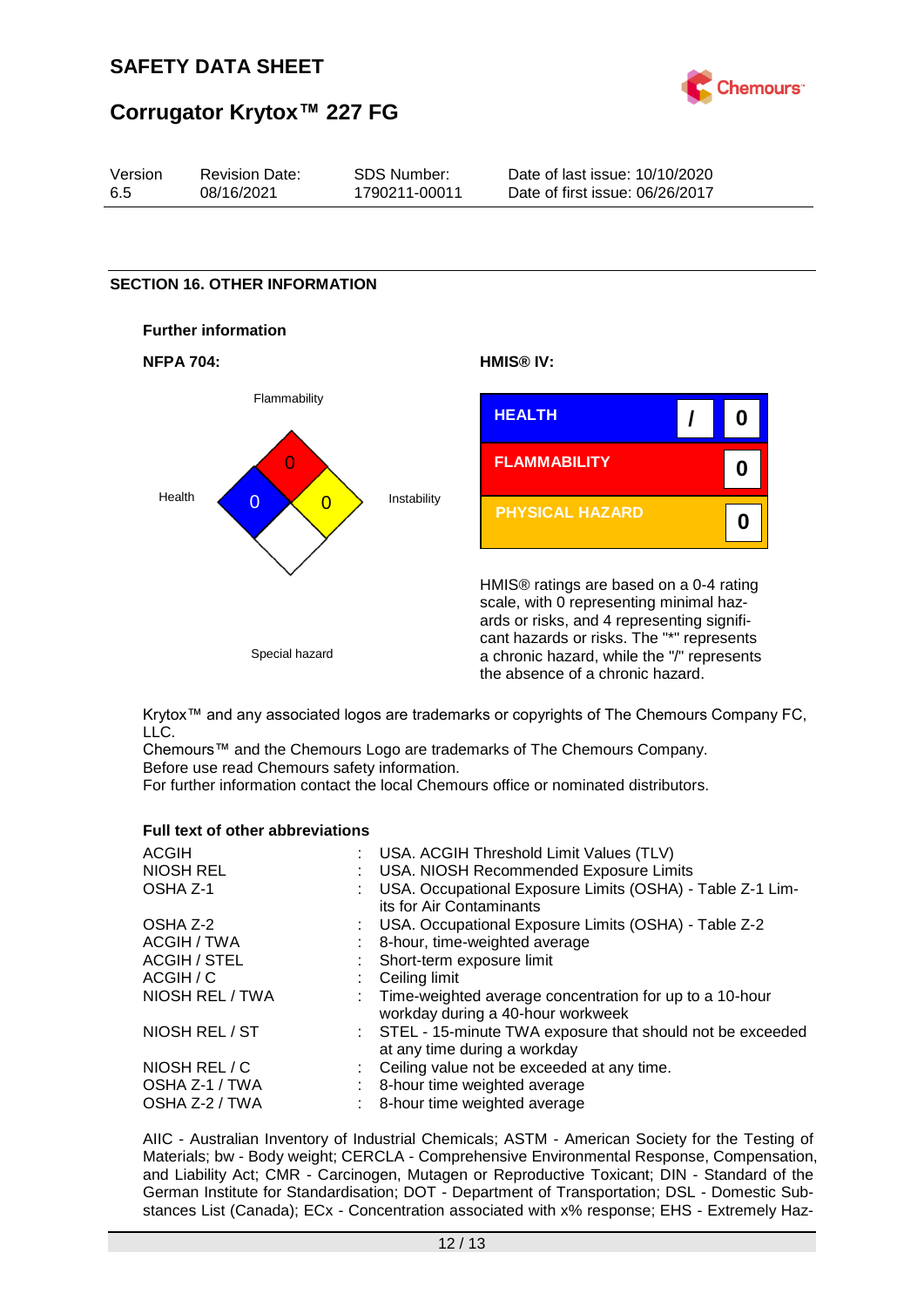

| Version | <b>Revision Date:</b> | SDS Number:   | Date of last issue: 10/10/2020  |
|---------|-----------------------|---------------|---------------------------------|
| 6.5     | 08/16/2021            | 1790211-00011 | Date of first issue: 06/26/2017 |

### **SECTION 16. OTHER INFORMATION**









HMIS® ratings are based on a 0-4 rating scale, with 0 representing minimal hazards or risks, and 4 representing significant hazards or risks. The "\*" represents a chronic hazard, while the "/" represents the absence of a chronic hazard.

Krytox™ and any associated logos are trademarks or copyrights of The Chemours Company FC, LLC.

Chemours™ and the Chemours Logo are trademarks of The Chemours Company. Before use read Chemours safety information.

For further information contact the local Chemours office or nominated distributors.

### **Full text of other abbreviations**

| <b>ACGIH</b>        | : USA. ACGIH Threshold Limit Values (TLV)                                                      |
|---------------------|------------------------------------------------------------------------------------------------|
| <b>NIOSH REL</b>    | : USA. NIOSH Recommended Exposure Limits                                                       |
| OSHA Z-1            | USA. Occupational Exposure Limits (OSHA) - Table Z-1 Lim-<br>its for Air Contaminants          |
| OSHA Z-2            | : USA. Occupational Exposure Limits (OSHA) - Table Z-2                                         |
| ACGIH / TWA         | : 8-hour, time-weighted average                                                                |
| <b>ACGIH / STEL</b> | : Short-term exposure limit                                                                    |
| ACGIH / C           | $\therefore$ Ceiling limit                                                                     |
| NIOSH REL / TWA     | : Time-weighted average concentration for up to a 10-hour<br>workday during a 40-hour workweek |
| NIOSH REL / ST      | : STEL - 15-minute TWA exposure that should not be exceeded<br>at any time during a workday    |
| NIOSH REL / C       | : Ceiling value not be exceeded at any time.                                                   |
| OSHA Z-1 / TWA      | : 8-hour time weighted average                                                                 |
| OSHA Z-2 / TWA      | 8-hour time weighted average                                                                   |
|                     |                                                                                                |

AIIC - Australian Inventory of Industrial Chemicals; ASTM - American Society for the Testing of Materials; bw - Body weight; CERCLA - Comprehensive Environmental Response, Compensation, and Liability Act; CMR - Carcinogen, Mutagen or Reproductive Toxicant; DIN - Standard of the German Institute for Standardisation; DOT - Department of Transportation; DSL - Domestic Substances List (Canada); ECx - Concentration associated with x% response; EHS - Extremely Haz-